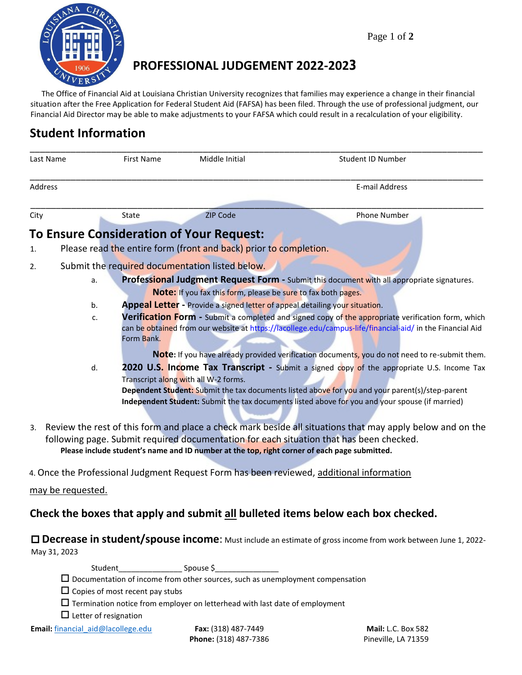

# **PROFESSIONAL JUDGEMENT 2022-2023**

The Office of Financial Aid at Louisiana Christian University recognizes that families may experience a change in their financial situation after the Free Application for Federal Student Aid (FAFSA) has been filed. Through the use of professional judgment, our Financial Aid Director may be able to make adjustments to your FAFSA which could result in a recalculation of your eligibility.

# **Student Information**

| Last Name        |                                                                                                                                                                                                                                                                                                      | <b>First Name</b>                                                                          | Middle Initial                                                              | Student ID Number                                                                                                                                                                                                                                                                               |  |
|------------------|------------------------------------------------------------------------------------------------------------------------------------------------------------------------------------------------------------------------------------------------------------------------------------------------------|--------------------------------------------------------------------------------------------|-----------------------------------------------------------------------------|-------------------------------------------------------------------------------------------------------------------------------------------------------------------------------------------------------------------------------------------------------------------------------------------------|--|
| Address          |                                                                                                                                                                                                                                                                                                      |                                                                                            |                                                                             | E-mail Address                                                                                                                                                                                                                                                                                  |  |
| City             |                                                                                                                                                                                                                                                                                                      | State                                                                                      | <b>ZIP Code</b>                                                             | <b>Phone Number</b>                                                                                                                                                                                                                                                                             |  |
|                  |                                                                                                                                                                                                                                                                                                      |                                                                                            | <b>To Ensure Consideration of Your Request:</b>                             |                                                                                                                                                                                                                                                                                                 |  |
| 1.               |                                                                                                                                                                                                                                                                                                      |                                                                                            | Please read the entire form (front and back) prior to completion.           |                                                                                                                                                                                                                                                                                                 |  |
| 2.               |                                                                                                                                                                                                                                                                                                      |                                                                                            | Submit the required documentation listed below.                             |                                                                                                                                                                                                                                                                                                 |  |
|                  | a.                                                                                                                                                                                                                                                                                                   | Professional Judgment Request Form - Submit this document with all appropriate signatures. |                                                                             |                                                                                                                                                                                                                                                                                                 |  |
|                  |                                                                                                                                                                                                                                                                                                      |                                                                                            | Note: If you fax this form, please be sure to fax both pages.               |                                                                                                                                                                                                                                                                                                 |  |
|                  | b.                                                                                                                                                                                                                                                                                                   |                                                                                            | Appeal Letter - Provide a signed letter of appeal detailing your situation. |                                                                                                                                                                                                                                                                                                 |  |
| c.<br>Form Bank. |                                                                                                                                                                                                                                                                                                      |                                                                                            |                                                                             | Verification Form - Submit a completed and signed copy of the appropriate verification form, which<br>can be obtained from our website at https://lacollege.edu/campus-life/financial-aid/ in the Financial Aid                                                                                 |  |
|                  |                                                                                                                                                                                                                                                                                                      |                                                                                            |                                                                             | Note: If you have already provided verification documents, you do not need to re-submit them.                                                                                                                                                                                                   |  |
|                  | d.                                                                                                                                                                                                                                                                                                   |                                                                                            | Transcript along with all W-2 forms.                                        | 2020 U.S. Income Tax Transcript - Submit a signed copy of the appropriate U.S. Income Tax<br>Dependent Student: Submit the tax documents listed above for you and your parent(s)/step-parent<br>Independent Student: Submit the tax documents listed above for you and your spouse (if married) |  |
| 3.               | Review the rest of this form and place a check mark beside all situations that may apply below and on the<br>following page. Submit required documentation for each situation that has been checked.<br>Please include student's name and ID number at the top, right corner of each page submitted. |                                                                                            |                                                                             |                                                                                                                                                                                                                                                                                                 |  |
|                  |                                                                                                                                                                                                                                                                                                      |                                                                                            |                                                                             | 4. Once the Professional Judgment Request Form has been reviewed, additional information                                                                                                                                                                                                        |  |
|                  | may be requested.                                                                                                                                                                                                                                                                                    |                                                                                            |                                                                             |                                                                                                                                                                                                                                                                                                 |  |
|                  |                                                                                                                                                                                                                                                                                                      |                                                                                            |                                                                             | Check the boxes that apply and submit all bulleted items below each box checked.                                                                                                                                                                                                                |  |

 **Decrease in student/spouse income**: Must include an estimate of gross income from work between June 1, 2022- May 31, 2023

Student\_\_\_\_\_\_\_\_\_\_\_\_\_\_\_ Spouse \$\_\_\_\_\_\_\_\_\_\_\_\_\_\_\_

 $\Box$  Documentation of income from other sources, such as unemployment compensation

 $\Box$  Copies of most recent pay stubs

 $\Box$  Termination notice from employer on letterhead with last date of employment

 $\Box$  Letter of resignation

**Phone:** (318) 487-7386 Pineville, LA 71359